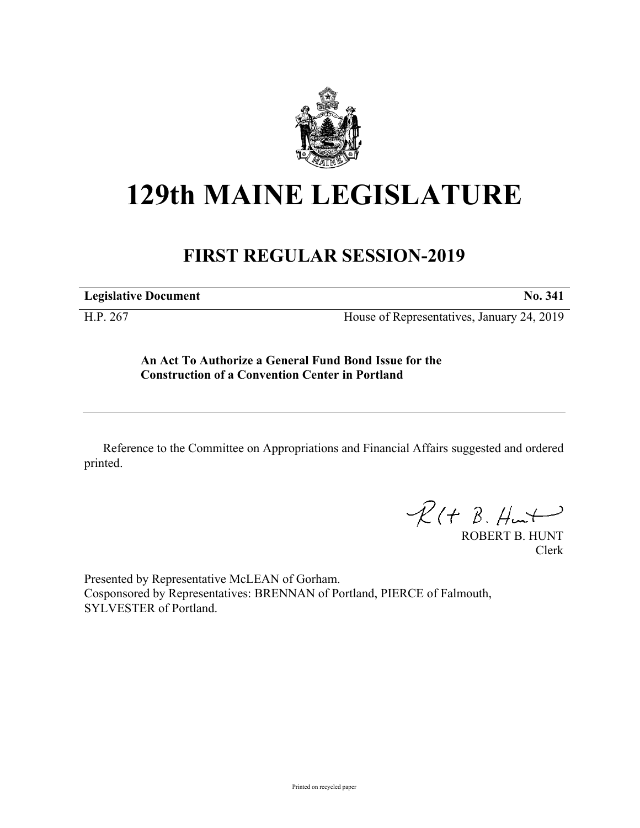

## **129th MAINE LEGISLATURE**

## **FIRST REGULAR SESSION-2019**

**Legislative Document No. 341**

H.P. 267 House of Representatives, January 24, 2019

**An Act To Authorize a General Fund Bond Issue for the Construction of a Convention Center in Portland**

Reference to the Committee on Appropriations and Financial Affairs suggested and ordered printed.

 $\mathcal{R}(t \; \mathcal{B}, \mathcal{H}_{\mathsf{int}})$ 

ROBERT B. HUNT Clerk

Presented by Representative McLEAN of Gorham. Cosponsored by Representatives: BRENNAN of Portland, PIERCE of Falmouth, SYLVESTER of Portland.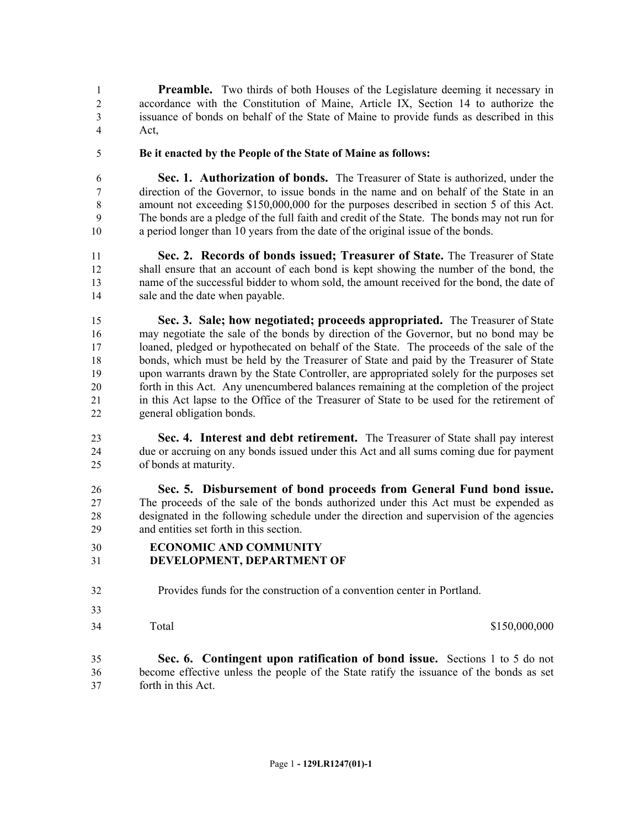**Preamble.** Two thirds of both Houses of the Legislature deeming it necessary in accordance with the Constitution of Maine, Article IX, Section 14 to authorize the issuance of bonds on behalf of the State of Maine to provide funds as described in this Act,

**Be it enacted by the People of the State of Maine as follows:**

 **Sec. 1. Authorization of bonds.** The Treasurer of State is authorized, under the direction of the Governor, to issue bonds in the name and on behalf of the State in an amount not exceeding \$150,000,000 for the purposes described in section 5 of this Act. The bonds are a pledge of the full faith and credit of the State. The bonds may not run for a period longer than 10 years from the date of the original issue of the bonds.

 **Sec. 2. Records of bonds issued; Treasurer of State.** The Treasurer of State shall ensure that an account of each bond is kept showing the number of the bond, the name of the successful bidder to whom sold, the amount received for the bond, the date of sale and the date when payable.

 **Sec. 3. Sale; how negotiated; proceeds appropriated.** The Treasurer of State may negotiate the sale of the bonds by direction of the Governor, but no bond may be loaned, pledged or hypothecated on behalf of the State. The proceeds of the sale of the bonds, which must be held by the Treasurer of State and paid by the Treasurer of State upon warrants drawn by the State Controller, are appropriated solely for the purposes set forth in this Act. Any unencumbered balances remaining at the completion of the project in this Act lapse to the Office of the Treasurer of State to be used for the retirement of general obligation bonds.

 **Sec. 4. Interest and debt retirement.** The Treasurer of State shall pay interest due or accruing on any bonds issued under this Act and all sums coming due for payment of bonds at maturity.

 **Sec. 5. Disbursement of bond proceeds from General Fund bond issue.**  The proceeds of the sale of the bonds authorized under this Act must be expended as designated in the following schedule under the direction and supervision of the agencies and entities set forth in this section.

## **ECONOMIC AND COMMUNITY**

- **DEVELOPMENT, DEPARTMENT OF**
- Provides funds for the construction of a convention center in Portland.
- 
- 

Total \$150,000,000 \$150,000,000 \$150,000,000 \$150,000,000 \$150,000,000 \$150,000,000 \$150,000 \$150,000 \$150,000 \$150,000 \$150,000 \$150,000 \$150,000 \$150,000 \$150,000 \$150,000 \$150,000 \$150,000 \$150,000 \$150,000 \$150,000 \$15

 **Sec. 6. Contingent upon ratification of bond issue.** Sections 1 to 5 do not become effective unless the people of the State ratify the issuance of the bonds as set forth in this Act.